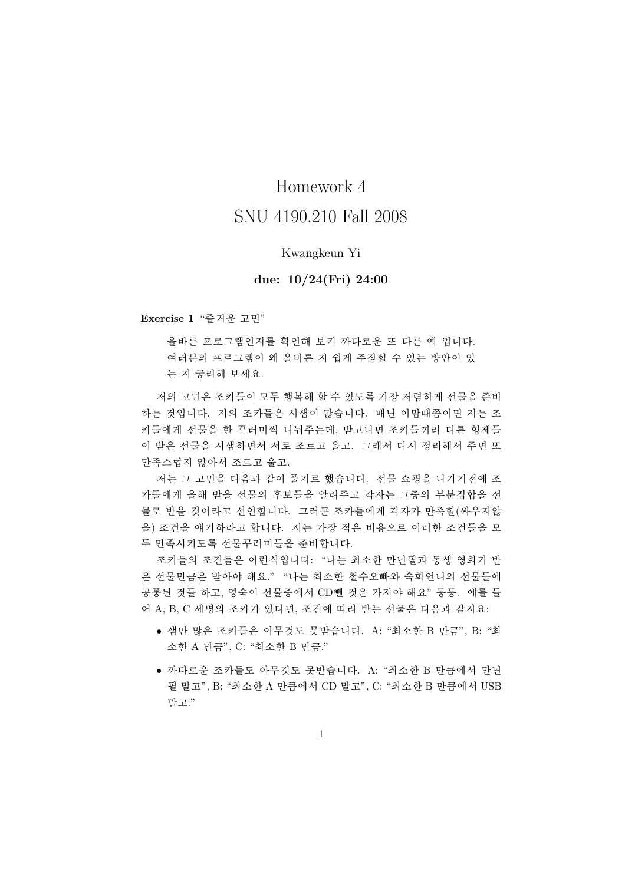## Homework 4

## SNU 4190 210 Fall 2008

## Kwangkeun Yi

## due:  $10/24$ (Fri) 24:00

Exercise 1 "즐거운 고민"

올바른 프로그램인지를 확인해 보기 까다로운 또 다른 예 입니다. 여러분의 프로그램이 왜 올바른 지 쉽게 주장할 수 있는 방안이 있 는 지 궁리해 보세요.

저의 고민은 조카들이 모두 행복해 할 수 있도록 가장 저렴하게 서물을 주비 하는 것입니다. 저의 조카들은 시샘이 많습니다. 매년 이맘때쯤이면 저는 조 카들에게 선물을 한 꾸러미씩 나눠주는데, 받고나면 조카들끼리 다른 형제들 이 받은 선물을 시샘하면서 서로 조르고 울고. 그래서 다시 정리해서 주면 또 만족스럽지 않아서 조르고 울고.

저는 그 고민을 다음과 같이 풀기로 했습니다. 선물 쇼핑을 나가기전에 조 카들에게 올해 받을 선물의 후보들을 알려주고 각자는 그중의 부분집합을 선 물로 받을 것이라고 선언합니다. 그러곤 조카들에게 각자가 만족할(싸우지않 을) 조건을 얘기하라고 합니다. 저는 가장 적은 비용으로 이러한 조건들을 모 두 만족시키도록 선물꾸러미들을 준비합니다.

조카들의 조건들은 이런식입니다: "나는 최소한 만년필과 동생 영희가 받 은 선물만큼은 받아야 해요." "나는 최소한 철수오빠와 숙희언니의 선물들에 공통된 것들 하고, 영숙이 선물중에서 CD뺀 것은 가져야 해요" 등등. 예를 들 어 A, B, C 세명의 조카가 있다면, 조건에 따라 받는 선물은 다음과 같지요:

- 샘만 많은 조카들은 아무것도 못받습니다. A: "최소한 B 만큼", B: "최 소한 A 만큼", C: "최소한 B 만큼."
- 까다로운 조카들도 아무것도 못받습니다. A: "최소한 B 만큼에서 만년 필 말고", B: "최소한 A 만큼에서 CD 말고", C: "최소한 B 만큼에서 USB 말고."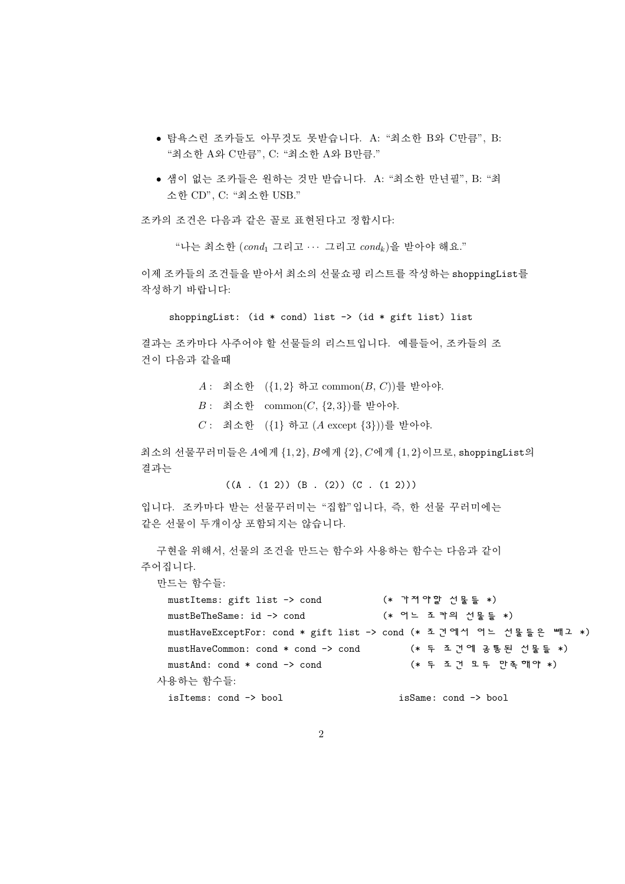- 탐욕스런 조카들도 아무것도 못받습니다. A: "최소한 B와 C만큼", B: "최소한 A와 C만큼", C: "최소한 A와 B만큼."
- 샘이 없는 조카들은 워하는 것만 받습니다. A: "최소한 만녀필", B: "최 소한 CD", C: "최소한 USB."

조카의 조건은 다음과 같은 꼴로 표현된다고 정합시다:

"나는 최소한  $(cond_1 2d\mathbb{Z} ... 2d\mathbb{Z} 2cond_k)$ 을 받아야 해요."

이제 조카들의 조거들을 받아서 최소의 선물쇼핑 리스트를 작성하는 shoppingList를 작성하기 바랍니다:

shoppingList: (id  $*$  cond) list -> (id  $*$  gift list) list

결과는 조카마다 사주어야 할 선물들의 리스트입니다. 예를들어, 조카들의 조 건이 다음과 같을때

A: 최소한 ({1,2} 하고 common(B, C))를 받아야.

 $B:$  최소한  $common(C, {2, 3})$ 를 받아야.

 $C:$  최소한  $({1}$  하고  $(A \text{ except } {3} ))$ 를 받아야.

최소의 선물꾸러미들은  $A$ 에게  $\{1,2\}$ ,  $B$ 에게  $\{2\}$ ,  $C$ 에게  $\{1,2\}$ 이므로, shoppingList의 결과는

 $((A . (1 2)) (B . (2)) (C . (1 2)))$ 

입니다. 조카마다 받는 선물꾸러미는 "집합"입니다, 즉, 한 선물 꾸러미에는 같은 서물이 두개이상 포함되지는 않습니다.

구현을 위해서, 선물의 조건을 만드는 함수와 사용하는 함수는 다음과 같이 주어집니다.

만드는 학수들:

```
mustItems: gift list -> cond
                                  (* 가져야할 선물들 *)
 mustBeTheSame: id -> cond
                                  (* 어느 조 카의 선물들 *)
 mustHaveExceptFor: cond * gift list -> cond (* 조건에서 어느 선물들은 빼고 *)
 mustHaveCommon: cond * cond -> cond
                                      (* 두 조건에 공통된 선물들 *)
                                      (* 두 조건 모두 만족해야 *)
 mustAnd: cond * cond -> cond
사용하는 함수들:
 isItems: cond -> bool
                                    isSame: cond -> bool
```